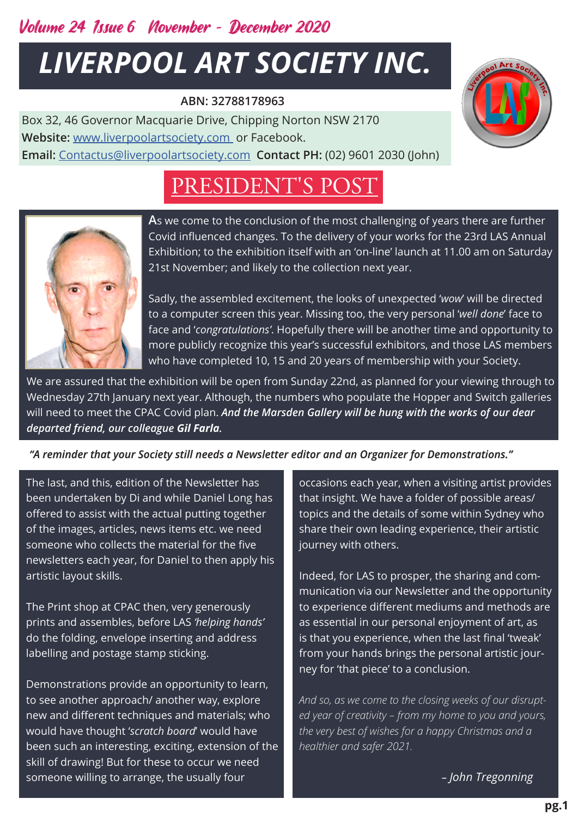### Volume 24 Issue 6 November *-* December 2020

# *LIVERPOOL ART SOCIETY INC.*

#### **ABN: 32788178963**

Box 32, 46 Governor Macquarie Drive, Chipping Norton NSW 2170 **Website:** [www.liverpoolartsociety.com](http://www.liverpoolartsociety.com/) or Facebook. **Email:** [Contactus@liverpoolartsociety.com](mailto:Contactus@liverpoolartsociety.com) **Contact PH:** (02) 9601 2030 (John)

## PRESIDENT'S POST



**A**s we come to the conclusion of the most challenging of years there are further Covid influenced changes. To the delivery of your works for the 23rd LAS Annual Exhibition; to the exhibition itself with an 'on-line' launch at 11.00 am on Saturday 21st November; and likely to the collection next year.

Sadly, the assembled excitement, the looks of unexpected '*wow*' will be directed to a computer screen this year. Missing too, the very personal '*well done*' face to face and '*congratulations'*. Hopefully there will be another time and opportunity to more publicly recognize this year's successful exhibitors, and those LAS members who have completed 10, 15 and 20 years of membership with your Society.

We are assured that the exhibition will be open from Sunday 22nd, as planned for your viewing through to Wednesday 27th January next year. Although, the numbers who populate the Hopper and Switch galleries will need to meet the CPAC Covid plan. *And the Marsden Gallery will be hung with the works of our dear departed friend, our colleague Gil Farla.*

#### *"A reminder that your Society still needs a Newsletter editor and an Organizer for Demonstrations."*

The last, and this, edition of the Newsletter has been undertaken by Di and while Daniel Long has offered to assist with the actual putting together of the images, articles, news items etc. we need someone who collects the material for the five newsletters each year, for Daniel to then apply his artistic layout skills.

The Print shop at CPAC then, very generously prints and assembles, before LAS *'helping hands'*  do the folding, envelope inserting and address labelling and postage stamp sticking.

Demonstrations provide an opportunity to learn, to see another approach/ another way, explore new and different techniques and materials; who would have thought '*scratch board*' would have been such an interesting, exciting, extension of the skill of drawing! But for these to occur we need someone willing to arrange, the usually four

occasions each year, when a visiting artist provides that insight. We have a folder of possible areas/ topics and the details of some within Sydney who share their own leading experience, their artistic journey with others.

Indeed, for LAS to prosper, the sharing and communication via our Newsletter and the opportunity to experience different mediums and methods are as essential in our personal enjoyment of art, as is that you experience, when the last final 'tweak' from your hands brings the personal artistic journey for 'that piece' to a conclusion.

*And so, as we come to the closing weeks of our disrupted year of creativity – from my home to you and yours, the very best of wishes for a happy Christmas and a healthier and safer 2021.*

*– John Tregonning*

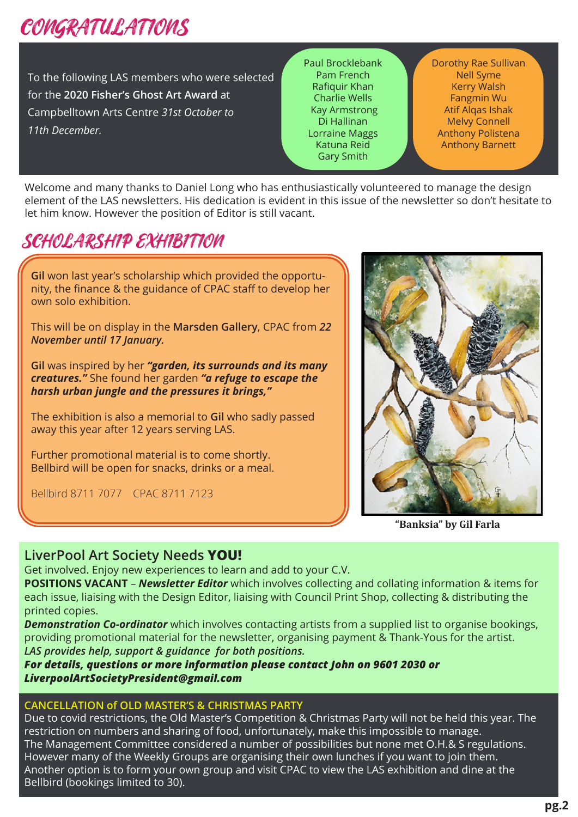## CONGRATULATIONS

To the following LAS members who were selected for the **2020 Fisher's Ghost Art Award** at Campbelltown Arts Centre *31st October to 11th December.*

Paul Brocklebank Pam French Rafiquir Khan Charlie Wells Kay Armstrong Di Hallinan Lorraine Maggs Katuna Reid Gary Smith

Dorothy Rae Sullivan Nell Syme Kerry Walsh Fangmin Wu Atif Alqas Ishak Melvy Connell Anthony Polistena Anthony Barnett

Welcome and many thanks to Daniel Long who has enthusiastically volunteered to manage the design element of the LAS newsletters. His dedication is evident in this issue of the newsletter so don't hesitate to let him know. However the position of Editor is still vacant.

### SCHOLARSHIP EXHIBITION

**Gil** won last year's scholarship which provided the opportunity, the finance & the guidance of CPAC staff to develop her own solo exhibition. This will be on display in the **Marsden Gallery**, CPAC from *22 November until 17 January.* **Gil** was inspired by her *"garden, its surrounds and its many creatures."* She found her garden *"a refuge to escape the harsh urban jungle and the pressures it brings,"* The exhibition is also a memorial to **Gil** who sadly passed away this year after 12 years serving LAS. Further promotional material is to come shortly. Bellbird will be open for snacks, drinks or a meal.

Bellbird 8711 7077 CPAC 8711 7123



**"Banksia" by Gil Farla**

#### **LiverPool Art Society Needs YOU!**

Get involved. Enjoy new experiences to learn and add to your C.V.

**POSITIONS VACANT** – *Newsletter Editor* which involves collecting and collating information & items for each issue, liaising with the Design Editor, liaising with Council Print Shop, collecting & distributing the printed copies.

*Demonstration Co-ordinator* which involves contacting artists from a supplied list to organise bookings, providing promotional material for the newsletter, organising payment & Thank-Yous for the artist. *LAS provides help, support & guidance for both positions.* 

*For details, questions or more information please contact John on 9601 2030 or LiverpoolArtSocietyPresident@gmail.com* 

#### **CANCELLATION of OLD MASTER'S & CHRISTMAS PARTY**

Due to covid restrictions, the Old Master's Competition & Christmas Party will not be held this year. The restriction on numbers and sharing of food, unfortunately, make this impossible to manage. The Management Committee considered a number of possibilities but none met O.H.& S regulations. However many of the Weekly Groups are organising their own lunches if you want to join them. Another option is to form your own group and visit CPAC to view the LAS exhibition and dine at the Bellbird (bookings limited to 30).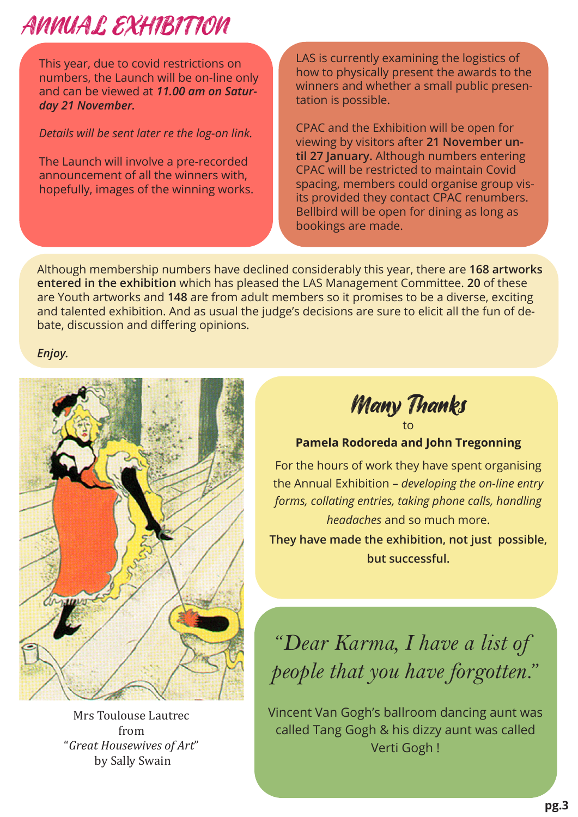# ANNUAL EXHIBITION

This year, due to covid restrictions on numbers, the Launch will be on-line only and can be viewed at *11.00 am on Saturday 21 November.*

#### *Details will be sent later re the log-on link.*

The Launch will involve a pre-recorded announcement of all the winners with, hopefully, images of the winning works.

LAS is currently examining the logistics of how to physically present the awards to the winners and whether a small public presentation is possible.

CPAC and the Exhibition will be open for viewing by visitors after **21 November until 27 January.** Although numbers entering CPAC will be restricted to maintain Covid spacing, members could organise group visits provided they contact CPAC renumbers. Bellbird will be open for dining as long as bookings are made.

Although membership numbers have declined considerably this year, there are **168 artworks entered in the exhibition** which has pleased the LAS Management Committee. **20** of these are Youth artworks and **148** are from adult members so it promises to be a diverse, exciting and talented exhibition. And as usual the judge's decisions are sure to elicit all the fun of debate, discussion and differing opinions.

*Enjoy.*



Mrs Toulouse Lautrec from "*Great Housewives of Art*" by Sally Swain

Many Thanks to

**Pamela Rodoreda and John Tregonning** 

For the hours of work they have spent organising the Annual Exhibition – *developing the on-line entry forms, collating entries, taking phone calls, handling headaches* and so much more.

**They have made the exhibition, not just possible, but successful.**

"*Dear Karma, I have a list of people that you have forgotten.*"

Vincent Van Gogh's ballroom dancing aunt was called Tang Gogh & his dizzy aunt was called Verti Gogh !